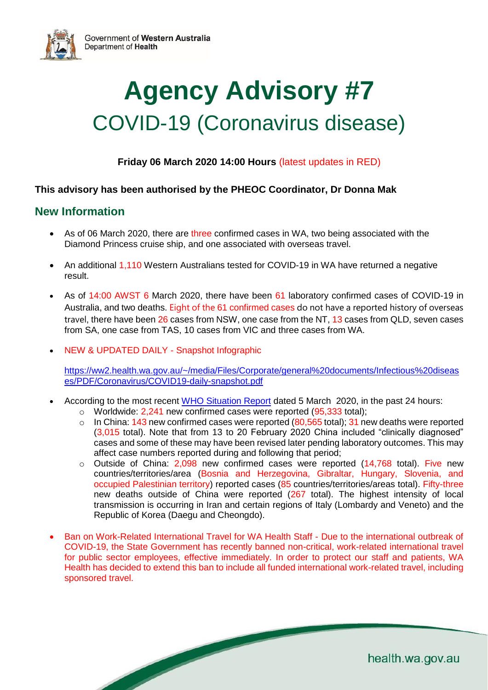



**Friday 06 March 2020 14:00 Hours** (latest updates in RED)

#### **This advisory has been authorised by the PHEOC Coordinator, Dr Donna Mak**

### **New Information**

- As of 06 March 2020, there are three confirmed cases in WA, two being associated with the Diamond Princess cruise ship, and one associated with overseas travel.
- An additional 1,110 Western Australians tested for COVID-19 in WA have returned a negative result.
- As of 14:00 AWST 6 March 2020, there have been 61 laboratory confirmed cases of COVID-19 in Australia, and two deaths. Eight of the 61 confirmed cases do not have a reported history of overseas travel, there have been 26 cases from NSW, one case from the NT, 13 cases from QLD, seven cases from SA, one case from TAS, 10 cases from VIC and three cases from WA.
- NEW & UPDATED DAILY Snapshot Infographic

[https://ww2.health.wa.gov.au/~/media/Files/Corporate/general%20documents/Infectious%20diseas](https://ww2.health.wa.gov.au/~/media/Files/Corporate/general%20documents/Infectious%20diseases/PDF/Coronavirus/COVID19-daily-snapshot.pdf) [es/PDF/Coronavirus/COVID19-daily-snapshot.pdf](https://ww2.health.wa.gov.au/~/media/Files/Corporate/general%20documents/Infectious%20diseases/PDF/Coronavirus/COVID19-daily-snapshot.pdf)

- According to the most recent [WHO Situation Report](https://www.who.int/emergencies/diseases/novel-coronavirus-2019/situation-reports/) dated 5 March 2020, in the past 24 hours:
	- o Worldwide: 2,241 new confirmed cases were reported (95,333 total);
	- $\circ$  In China: 143 new confirmed cases were reported (80,565 total); 31 new deaths were reported (3,015 total). Note that from 13 to 20 February 2020 China included "clinically diagnosed" cases and some of these may have been revised later pending laboratory outcomes. This may affect case numbers reported during and following that period;
	- $\circ$  Outside of China: 2,098 new confirmed cases were reported (14,768 total). Five new countries/territories/area (Bosnia and Herzegovina, Gibraltar, Hungary, Slovenia, and occupied Palestinian territory) reported cases (85 countries/territories/areas total). Fifty-three new deaths outside of China were reported (267 total). The highest intensity of local transmission is occurring in Iran and certain regions of Italy (Lombardy and Veneto) and the Republic of Korea (Daegu and Cheongdo).
- Ban on Work-Related International Travel for WA Health Staff Due to the international outbreak of COVID-19, the State Government has recently banned non-critical, work-related international travel for public sector employees, effective immediately. In order to protect our staff and patients, WA Health has decided to extend this ban to include all funded international work-related travel, including sponsored travel.

health.wa.gov.au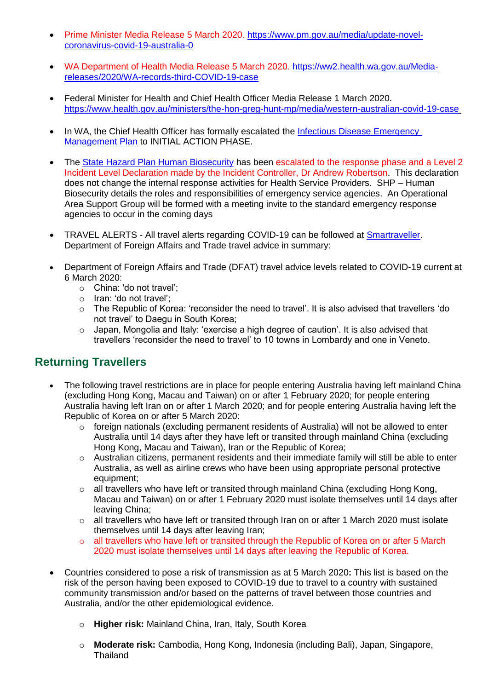- Prime Minister Media Release 5 March 2020. [https://www.pm.gov.au/media/update-novel](https://www.pm.gov.au/media/update-novel-coronavirus-covid-19-australia-0)[coronavirus-covid-19-australia-0](https://www.pm.gov.au/media/update-novel-coronavirus-covid-19-australia-0)
- WA Department of Health Media Release 5 March 2020. [https://ww2.health.wa.gov.au/Media](https://ww2.health.wa.gov.au/Media-releases/2020/WA-records-third-COVID-19-case)[releases/2020/WA-records-third-COVID-19-case](https://ww2.health.wa.gov.au/Media-releases/2020/WA-records-third-COVID-19-case)
- Federal Minister for Health and Chief Health Officer Media Release 1 March 2020. <https://www.health.gov.au/ministers/the-hon-greg-hunt-mp/media/western-australian-covid-19-case>
- In WA, the Chief Health Officer has formally escalated the Infectious Disease Emergency [Management Plan](https://ww2.health.wa.gov.au/~/media/Files/Corporate/general%20documents/emergency%20disaster/PDF/Infectious-Disease-Emergency-Management-Plan.pdf) to INITIAL ACTION PHASE.
- The [State Hazard Plan Human Biosecurity](https://semc.wa.gov.au/emergency-management/plans/state-hazard-plans/Documents/StateHazardPlanHumanBiosecurity.pdf) has been escalated to the response phase and a Level 2 Incident Level Declaration made by the Incident Controller, Dr Andrew Robertson. This declaration does not change the internal response activities for Health Service Providers. SHP – Human Biosecurity details the roles and responsibilities of emergency service agencies. An Operational Area Support Group will be formed with a meeting invite to the standard emergency response agencies to occur in the coming days
- TRAVEL ALERTS All travel alerts regarding COVID-19 can be followed at **Smartraveller**. Department of Foreign Affairs and Trade travel advice in summary:
- Department of Foreign Affairs and Trade (DFAT) travel advice levels related to COVID-19 current at 6 March 2020:
	- o China: 'do not travel';
	- o Iran: 'do not travel';
	- o The Republic of Korea: 'reconsider the need to travel'. It is also advised that travellers 'do not travel' to Daegu in South Korea;
	- o Japan, Mongolia and Italy: 'exercise a high degree of caution'. It is also advised that travellers 'reconsider the need to travel' to 10 towns in Lombardy and one in Veneto.

# **Returning Travellers**

- The following travel restrictions are in place for people entering Australia having left mainland China (excluding Hong Kong, Macau and Taiwan) on or after 1 February 2020; for people entering Australia having left Iran on or after 1 March 2020; and for people entering Australia having left the Republic of Korea on or after 5 March 2020:
	- o foreign nationals (excluding permanent residents of Australia) will not be allowed to enter Australia until 14 days after they have left or transited through mainland China (excluding Hong Kong, Macau and Taiwan), Iran or the Republic of Korea;
	- $\circ$  Australian citizens, permanent residents and their immediate family will still be able to enter Australia, as well as airline crews who have been using appropriate personal protective equipment;
	- o all travellers who have left or transited through mainland China (excluding Hong Kong, Macau and Taiwan) on or after 1 February 2020 must isolate themselves until 14 days after leaving China;
	- $\circ$  all travellers who have left or transited through Iran on or after 1 March 2020 must isolate themselves until 14 days after leaving Iran;
	- $\circ$  all travellers who have left or transited through the Republic of Korea on or after 5 March 2020 must isolate themselves until 14 days after leaving the Republic of Korea.
- Countries considered to pose a risk of transmission as at 5 March 2020**:** This list is based on the risk of the person having been exposed to COVID-19 due to travel to a country with sustained community transmission and/or based on the patterns of travel between those countries and Australia, and/or the other epidemiological evidence.
	- o **Higher risk:** Mainland China, Iran, Italy, South Korea
	- o **Moderate risk:** Cambodia, Hong Kong, Indonesia (including Bali), Japan, Singapore, **Thailand**